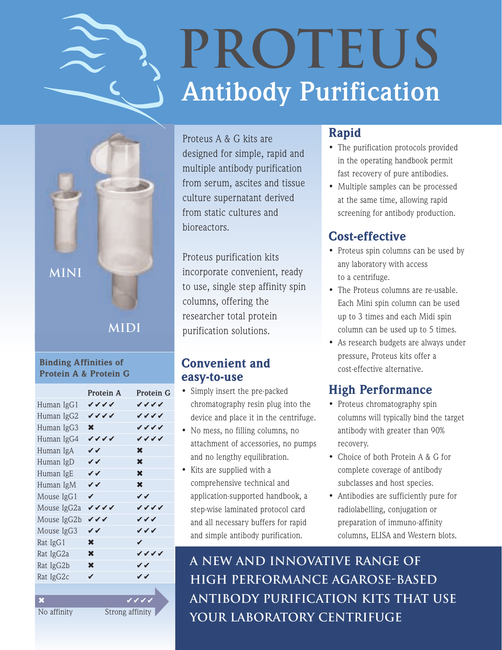

# **Antibody Purification PROTEUS**



## **MIDI**

#### Binding Affinities of Protein A & Protein G

|                         | Protein A   | Protein G       |
|-------------------------|-------------|-----------------|
| Human IgG1              | ンンンノ        | ンンンノ            |
| Human IgG2              | ンンンノ        | ンンンノ            |
| Human IgG3              | $\mathbf x$ | VVVV            |
| Human IgG4              | ンンンノ        | VVVV            |
| Human IgA               | VV          | X               |
| Human IgD               | VV          | $\mathbf x$     |
| Human IgE               | VV          | $\mathbf x$     |
| Human IgM               | VV          | X               |
| Mouse IgG1              | ✓           | ンン              |
| Mouse IgG2a             | ンンンノ        | ンンンノ            |
| Mouse IgG2b             | ンンン         | ンンン             |
| Mouse IgG3              | VV          | ンンン             |
| Rat IgG1                | X           | V               |
| Rat IgG2a               | X           | ンンンノ            |
| Rat IgG2b               | $\mathbf x$ | VV              |
| Rat IgG2c               | ✓           | ンン              |
|                         |             |                 |
| $\overline{\mathbf{x}}$ |             | $\sqrt{V}$      |
| No affinity             |             | Strong affinity |

Proteus A & G kits are designed for simple, rapid and multiple antibody purification from serum, ascites and tissue culture supernatant derived from static cultures and bioreactors.

Proteus purification kits incorporate convenient, ready to use, single step affinity spin columns, offering the researcher total protein purification solutions.

## Convenient and easy-to-use

- Simply insert the pre-packed chromatography resin plug into the device and place it in the centrifuge.
- No mess, no filling columns, no attachment of accessories, no pumps and no lengthy equilibration.
- Kits are supplied with a comprehensive technical and application-supported handbook, a step-wise laminated protocol card and all necessary buffers for rapid and simple antibody purification.

## Rapid

- The purification protocols provided in the operating handbook permit fast recovery of pure antibodies.
- Multiple samples can be processed at the same time, allowing rapid screening for antibody production.

## Cost-effective

- Proteus spin columns can be used by any laboratory with access to a centrifuge.
- The Proteus columns are re-usable. Each Mini spin column can be used up to 3 times and each Midi spin column can be used up to 5 times.
- As research budgets are always under pressure, Proteus kits offer a cost-effective alternative.

## High Performance

- Proteus chromatography spin columns will typically bind the target antibody with greater than 90% recovery.
- Choice of both Protein A & G for complete coverage of antibody subclasses and host species.
- Antibodies are sufficiently pure for radiolabelling, conjugation or preparation of immuno-affinity columns, ELISA and Western blots.

**A new and innovative range of high performance agarose-based antibody purification kits that use your laboratory centrifuge**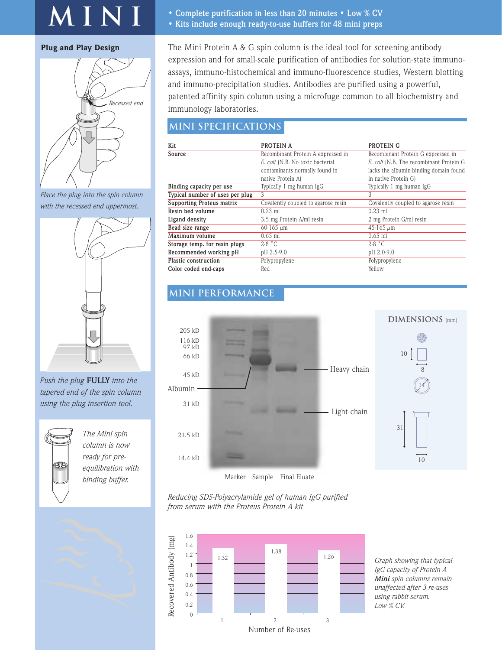## **MINI**

#### Plug and Play Design



*Place the plug into the spin column with the recessed end uppermost.*



*Push the plug* **FULLY** *into the tapered end of the spin column using the plug insertion tool.*



*The Mini spin column is now ready for preequilibration with*



- **Complete purification in less than 20 minutes Low % CV**
- **Kits include enough ready-to-use buffers for 48 mini preps**

The Mini Protein A & G spin column is the ideal tool for screening antibody expression and for small-scale purification of antibodies for solution-state immunoassays, immuno-histochemical and immuno-fluorescence studies, Western blotting and immuno-precipitation studies. Antibodies are purified using a powerful, patented affinity spin column using a microfuge common to all biochemistry and immunology laboratories.

## **MINI SPECIFICATIONS**

| Kit                              | PROTEIN A                                                                   | PROTEIN G                              |  |  |
|----------------------------------|-----------------------------------------------------------------------------|----------------------------------------|--|--|
| Source                           | Recombinant Protein A expressed in                                          | Recombinant Protein G expressed in     |  |  |
|                                  | E. coli (N.B. No toxic bacterial<br>E. coli (N.B. The recombinant Protein G |                                        |  |  |
|                                  | contaminants normally found in                                              | lacks the albumin-binding domain found |  |  |
|                                  | native Protein A)                                                           | in native Protein G)                   |  |  |
| Binding capacity per use         | Typically 1 mg human IgG                                                    | Typically 1 mg human IgG               |  |  |
| Typical number of uses per plug  | 3                                                                           | 3                                      |  |  |
| <b>Supporting Proteus matrix</b> | Covalently coupled to agarose resin                                         | Covalently coupled to agarose resin    |  |  |
| Resin bed volume                 | $0.23$ ml                                                                   | $0.23$ ml                              |  |  |
| Ligand density                   | 3.5 mg Protein A/ml resin                                                   | 2 mg Protein G/ml resin                |  |  |
| Bead size range                  | $60 - 165 \mu m$                                                            | $45 - 165 \mu m$                       |  |  |
| Maximum volume                   | $0.65$ ml                                                                   | $0.65$ ml                              |  |  |
| Storage temp. for resin plugs    | $2-8$ $^{\circ}$ C.                                                         | $2-8$ $^{\circ}$ C                     |  |  |
| Recommended working pH           | pH 2.5-9.0                                                                  | pH 2.0-9.0                             |  |  |
| Plastic construction             | Polypropylene                                                               | Polypropylene                          |  |  |
| Color coded end-caps             | Red                                                                         | Yellow                                 |  |  |

#### **MINI PERFORMANCE**



*Reducing SDS-Polyacrylamide gel of human IgG purified from serum with the Proteus Protein A kit*



*Graph showing that typical IgG capacity of Protein A Mini spin columns remain unaffected after 3 re-uses using rabbit serum. Low % CV.*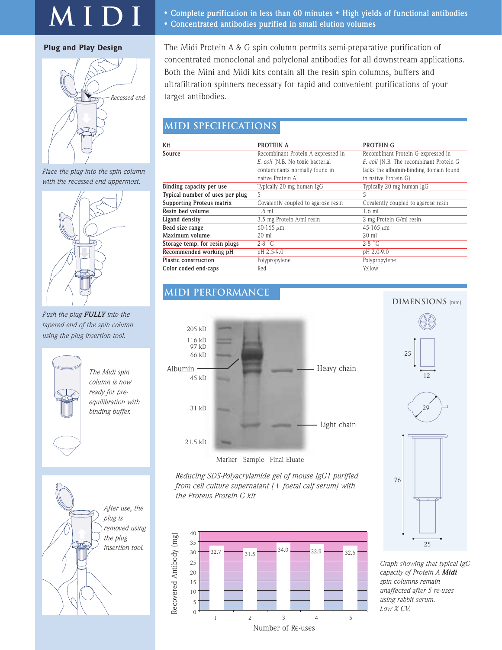## **MIDI**

#### Plug and Play Design



*Place the plug into the spin column with the recessed end uppermost.*



*Push the plug FULLY into the tapered end of the spin column using the plug insertion tool.*



*The Midi spin column is now ready for preequilibration with binding buffer.*



- **Complete purification in less than 60 minutes High yields of functional antibodies**
- **Concentrated antibodies purified in small elution volumes**

The Midi Protein A & G spin column permits semi-preparative purification of concentrated monoclonal and polyclonal antibodies for all downstream applications. Both the Mini and Midi kits contain all the resin spin columns, buffers and ultrafiltration spinners necessary for rapid and convenient purifications of your target antibodies.

## **MIDI SPECIFICATIONS**

| Kit                              | PROTEIN A                           | PROTEIN G                               |  |
|----------------------------------|-------------------------------------|-----------------------------------------|--|
| Source                           | Recombinant Protein A expressed in  | Recombinant Protein G expressed in      |  |
|                                  | E. coli (N.B. No toxic bacterial    | E. coli (N.B. The recombinant Protein G |  |
|                                  | contaminants normally found in      | lacks the albumin-binding domain found  |  |
|                                  | native Protein A)                   | in native Protein G)                    |  |
| Binding capacity per use         | Typically 20 mg human IgG           | Typically 20 mg human IgG               |  |
| Typical number of uses per plug  | 5                                   | 5                                       |  |
| <b>Supporting Proteus matrix</b> | Covalently coupled to agarose resin | Covalently coupled to agarose resin     |  |
| Resin bed volume                 | $1.6$ ml                            | $1.6$ ml                                |  |
| Ligand density                   | 3.5 mg Protein A/ml resin           | 2 mg Protein G/ml resin                 |  |
| Bead size range                  | $60 - 165 \mu m$                    | $45 - 165 \mu m$                        |  |
| Maximum volume                   | $20 \text{ ml}$                     | $20 \text{ ml}$                         |  |
| Storage temp. for resin plugs    | $2-8$ $^{\circ}$ C                  | $2-8$ $\degree$ C                       |  |
| Recommended working pH           | pH 2.5-9.0                          | pH 2.0-9.0                              |  |
| Plastic construction             | Polypropylene                       | Polypropylene                           |  |
| Color coded end-caps             | Red                                 | Yellow                                  |  |

### **MIDI PERFORMANCE**



*Reducing SDS-Polyacrylamide gel of mouse IgG1 purified from cell culture supernatant (+ foetal calf serum) with the Proteus Protein G kit*



**DIMENSIONS** (mm)



*Graph showing that typical IgG capacity of Protein A Midi spin columns remain unaffected after 5 re-uses using rabbit serum. Low % CV.*